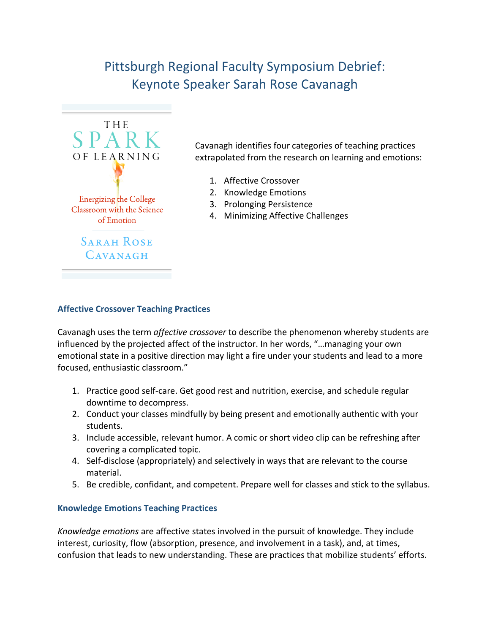# Pittsburgh Regional Faculty Symposium Debrief: Keynote Speaker Sarah Rose Cavanagh



Cavanagh identifies four categories of teaching practices extrapolated from the research on learning and emotions:

- 1. Affective Crossover
- 2. Knowledge Emotions
- 3. Prolonging Persistence
- 4. Minimizing Affective Challenges

#### **Affective Crossover Teaching Practices**

Cavanagh uses the term *affective crossover* to describe the phenomenon whereby students are influenced by the projected affect of the instructor. In her words, "…managing your own emotional state in a positive direction may light a fire under your students and lead to a more focused, enthusiastic classroom."

- 1. Practice good self-care. Get good rest and nutrition, exercise, and schedule regular downtime to decompress.
- 2. Conduct your classes mindfully by being present and emotionally authentic with your students.
- 3. Include accessible, relevant humor. A comic or short video clip can be refreshing after covering a complicated topic.
- 4. Self-disclose (appropriately) and selectively in ways that are relevant to the course material.
- 5. Be credible, confidant, and competent. Prepare well for classes and stick to the syllabus.

#### **Knowledge Emotions Teaching Practices**

*Knowledge emotions* are affective states involved in the pursuit of knowledge. They include interest, curiosity, flow (absorption, presence, and involvement in a task), and, at times, confusion that leads to new understanding. These are practices that mobilize students' efforts.